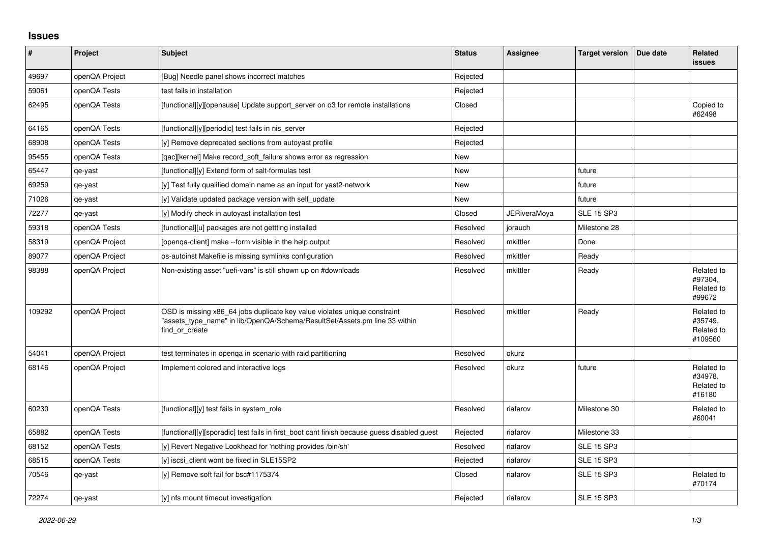## **Issues**

| ∦      | Project        | Subject                                                                                                                                                                   | <b>Status</b> | Assignee     | <b>Target version</b> | Due date | Related<br><b>issues</b>                       |
|--------|----------------|---------------------------------------------------------------------------------------------------------------------------------------------------------------------------|---------------|--------------|-----------------------|----------|------------------------------------------------|
| 49697  | openQA Project | [Bug] Needle panel shows incorrect matches                                                                                                                                | Rejected      |              |                       |          |                                                |
| 59061  | openQA Tests   | test fails in installation                                                                                                                                                | Rejected      |              |                       |          |                                                |
| 62495  | openQA Tests   | [functional][y][opensuse] Update support server on 03 for remote installations                                                                                            | Closed        |              |                       |          | Copied to<br>#62498                            |
| 64165  | openQA Tests   | [functional][y][periodic] test fails in nis server                                                                                                                        | Rejected      |              |                       |          |                                                |
| 68908  | openQA Tests   | [y] Remove deprecated sections from autoyast profile                                                                                                                      | Rejected      |              |                       |          |                                                |
| 95455  | openQA Tests   | [gac][kernel] Make record soft failure shows error as regression                                                                                                          | <b>New</b>    |              |                       |          |                                                |
| 65447  | qe-yast        | [functional][y] Extend form of salt-formulas test                                                                                                                         | <b>New</b>    |              | future                |          |                                                |
| 69259  | qe-yast        | [y] Test fully qualified domain name as an input for yast2-network                                                                                                        | New           |              | future                |          |                                                |
| 71026  | qe-yast        | [y] Validate updated package version with self_update                                                                                                                     | <b>New</b>    |              | future                |          |                                                |
| 72277  | qe-yast        | [y] Modify check in autoyast installation test                                                                                                                            | Closed        | JERiveraMoya | <b>SLE 15 SP3</b>     |          |                                                |
| 59318  | openQA Tests   | [functional][u] packages are not gettting installed                                                                                                                       | Resolved      | jorauch      | Milestone 28          |          |                                                |
| 58319  | openQA Project | [openga-client] make --form visible in the help output                                                                                                                    | Resolved      | mkittler     | Done                  |          |                                                |
| 89077  | openQA Project | os-autoinst Makefile is missing symlinks configuration                                                                                                                    | Resolved      | mkittler     | Ready                 |          |                                                |
| 98388  | openQA Project | Non-existing asset "uefi-vars" is still shown up on #downloads                                                                                                            | Resolved      | mkittler     | Ready                 |          | Related to<br>#97304,<br>Related to<br>#99672  |
| 109292 | openQA Project | OSD is missing x86_64 jobs duplicate key value violates unique constraint<br>"assets type name" in lib/OpenQA/Schema/ResultSet/Assets.pm line 33 within<br>find or create | Resolved      | mkittler     | Ready                 |          | Related to<br>#35749.<br>Related to<br>#109560 |
| 54041  | openQA Project | test terminates in openga in scenario with raid partitioning                                                                                                              | Resolved      | okurz        |                       |          |                                                |
| 68146  | openQA Project | Implement colored and interactive logs                                                                                                                                    | Resolved      | okurz        | future                |          | Related to<br>#34978,<br>Related to<br>#16180  |
| 60230  | openQA Tests   | [functional][y] test fails in system role                                                                                                                                 | Resolved      | riafarov     | Milestone 30          |          | Related to<br>#60041                           |
| 65882  | openQA Tests   | [functional][y][sporadic] test fails in first_boot cant finish because guess disabled guest                                                                               | Rejected      | riafarov     | Milestone 33          |          |                                                |
| 68152  | openQA Tests   | [y] Revert Negative Lookhead for 'nothing provides /bin/sh'                                                                                                               | Resolved      | riafarov     | <b>SLE 15 SP3</b>     |          |                                                |
| 68515  | openQA Tests   | [y] iscsi client wont be fixed in SLE15SP2                                                                                                                                | Rejected      | riafarov     | <b>SLE 15 SP3</b>     |          |                                                |
| 70546  | qe-yast        | [y] Remove soft fail for bsc#1175374                                                                                                                                      | Closed        | riafarov     | <b>SLE 15 SP3</b>     |          | Related to<br>#70174                           |
| 72274  | qe-yast        | [y] nfs mount timeout investigation                                                                                                                                       | Rejected      | riafarov     | <b>SLE 15 SP3</b>     |          |                                                |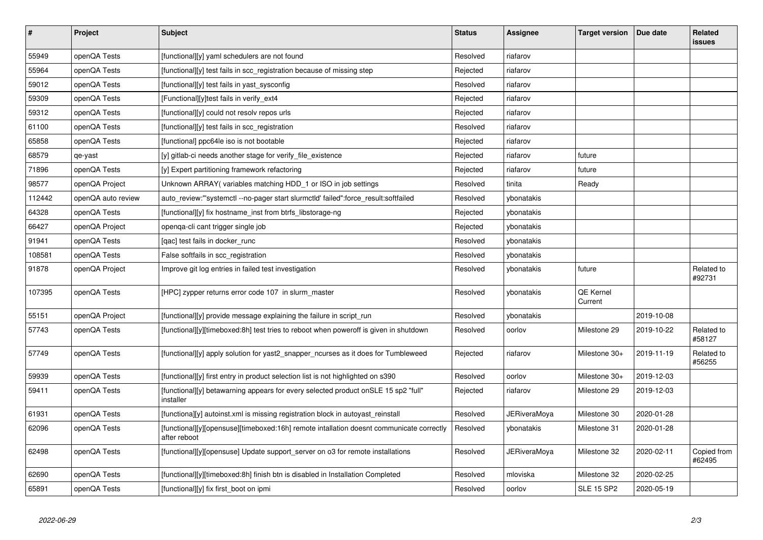| $\vert$ # | Project            | <b>Subject</b>                                                                                           | <b>Status</b> | Assignee     | <b>Target version</b> | Due date   | Related<br>issues     |
|-----------|--------------------|----------------------------------------------------------------------------------------------------------|---------------|--------------|-----------------------|------------|-----------------------|
| 55949     | openQA Tests       | [functional][y] yaml schedulers are not found                                                            | Resolved      | riafarov     |                       |            |                       |
| 55964     | openQA Tests       | [functional][y] test fails in scc_registration because of missing step                                   | Rejected      | riafarov     |                       |            |                       |
| 59012     | openQA Tests       | [functional][y] test fails in yast sysconfig                                                             | Resolved      | riafarov     |                       |            |                       |
| 59309     | openQA Tests       | [Functional][y]test fails in verify ext4                                                                 | Rejected      | riafarov     |                       |            |                       |
| 59312     | openQA Tests       | [functional][y] could not resolv repos urls                                                              | Rejected      | riafarov     |                       |            |                       |
| 61100     | openQA Tests       | [functional][y] test fails in scc registration                                                           | Resolved      | riafarov     |                       |            |                       |
| 65858     | openQA Tests       | [functional] ppc64le iso is not bootable                                                                 | Rejected      | riafarov     |                       |            |                       |
| 68579     | qe-yast            | [y] gitlab-ci needs another stage for verify file existence                                              | Rejected      | riafarov     | future                |            |                       |
| 71896     | openQA Tests       | [y] Expert partitioning framework refactoring                                                            | Rejected      | riafarov     | future                |            |                       |
| 98577     | openQA Project     | Unknown ARRAY (variables matching HDD 1 or ISO in job settings                                           | Resolved      | tinita       | Ready                 |            |                       |
| 112442    | openQA auto review | auto_review:"'systemctl --no-pager start slurmctld' failed":force_result:softfailed                      | Resolved      | ybonatakis   |                       |            |                       |
| 64328     | openQA Tests       | [functional][y] fix hostname_inst from btrfs_libstorage-ng                                               | Rejected      | ybonatakis   |                       |            |                       |
| 66427     | openQA Project     | openga-cli cant trigger single job                                                                       | Rejected      | ybonatakis   |                       |            |                       |
| 91941     | openQA Tests       | [qac] test fails in docker_runc                                                                          | Resolved      | ybonatakis   |                       |            |                       |
| 108581    | openQA Tests       | False softfails in scc registration                                                                      | Resolved      | ybonatakis   |                       |            |                       |
| 91878     | openQA Project     | Improve git log entries in failed test investigation                                                     | Resolved      | ybonatakis   | future                |            | Related to<br>#92731  |
| 107395    | openQA Tests       | [HPC] zypper returns error code 107 in slurm_master                                                      | Resolved      | ybonatakis   | QE Kernel<br>Current  |            |                       |
| 55151     | openQA Project     | [functional][y] provide message explaining the failure in script run                                     | Resolved      | ybonatakis   |                       | 2019-10-08 |                       |
| 57743     | openQA Tests       | [functional][y][timeboxed:8h] test tries to reboot when poweroff is given in shutdown                    | Resolved      | oorlov       | Milestone 29          | 2019-10-22 | Related to<br>#58127  |
| 57749     | openQA Tests       | [functional][y] apply solution for yast2_snapper_ncurses as it does for Tumbleweed                       | Rejected      | riafarov     | Milestone 30+         | 2019-11-19 | Related to<br>#56255  |
| 59939     | openQA Tests       | [functional][y] first entry in product selection list is not highlighted on s390                         | Resolved      | oorlov       | Milestone 30+         | 2019-12-03 |                       |
| 59411     | openQA Tests       | [functional][y] betawarning appears for every selected product onSLE 15 sp2 "full"<br>installer          | Rejected      | riafarov     | Milestone 29          | 2019-12-03 |                       |
| 61931     | openQA Tests       | [functiona][y] autoinst.xml is missing registration block in autoyast reinstall                          | Resolved      | JERiveraMoya | Milestone 30          | 2020-01-28 |                       |
| 62096     | openQA Tests       | [functional][y][opensuse][timeboxed:16h] remote intallation doesnt communicate correctly<br>after reboot | Resolved      | ybonatakis   | Milestone 31          | 2020-01-28 |                       |
| 62498     | openQA Tests       | [functional][y][opensuse] Update support_server on o3 for remote installations                           | Resolved      | JERiveraMoya | Milestone 32          | 2020-02-11 | Copied from<br>#62495 |
| 62690     | openQA Tests       | [functional][y][timeboxed:8h] finish btn is disabled in Installation Completed                           | Resolved      | mloviska     | Milestone 32          | 2020-02-25 |                       |
| 65891     | openQA Tests       | [functional][y] fix first_boot on ipmi                                                                   | Resolved      | oorlov       | <b>SLE 15 SP2</b>     | 2020-05-19 |                       |